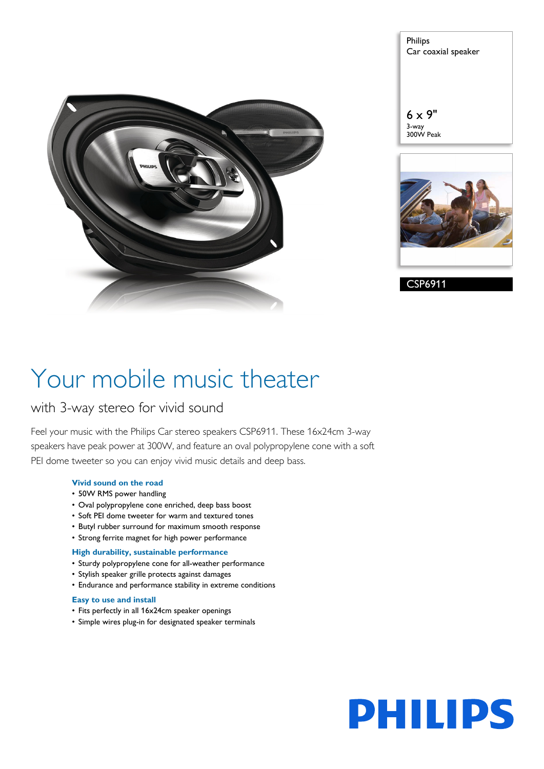

Philips Car coaxial speaker

6 x 9" 3-way 300W Peak



CSP6911

# Your mobile music theater

### with 3-way stereo for vivid sound

Feel your music with the Philips Car stereo speakers CSP6911. These 16x24cm 3-way speakers have peak power at 300W, and feature an oval polypropylene cone with a soft PEI dome tweeter so you can enjoy vivid music details and deep bass.

#### **Vivid sound on the road**

- 50W RMS power handling
- Oval polypropylene cone enriched, deep bass boost
- Soft PEI dome tweeter for warm and textured tones
- Butyl rubber surround for maximum smooth response
- Strong ferrite magnet for high power performance

#### **High durability, sustainable performance**

- Sturdy polypropylene cone for all-weather performance
- Stylish speaker grille protects against damages
- Endurance and performance stability in extreme conditions

#### **Easy to use and install**

- Fits perfectly in all 16x24cm speaker openings
- Simple wires plug-in for designated speaker terminals